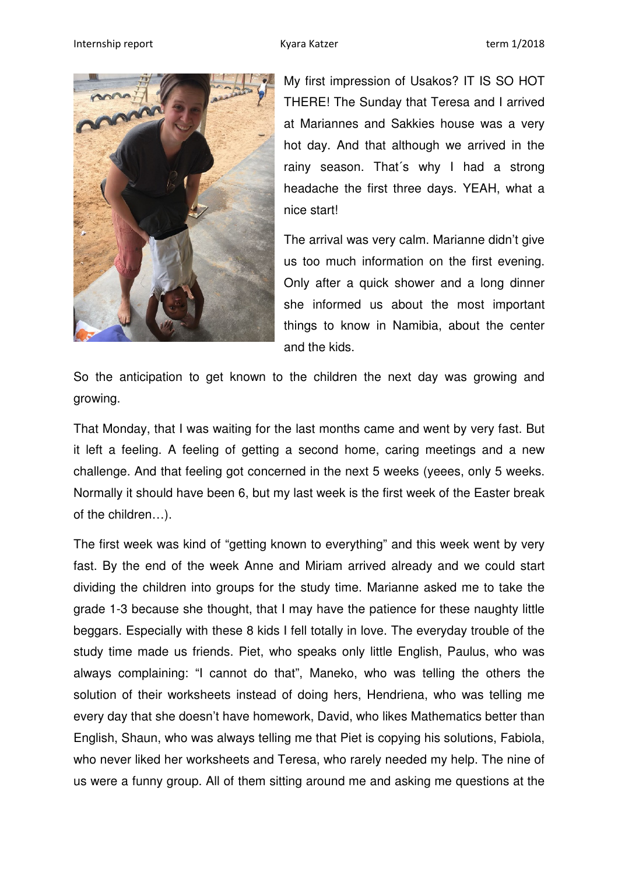

My first impression of Usakos? IT IS SO HOT THERE! The Sunday that Teresa and I arrived at Mariannes and Sakkies house was a very hot day. And that although we arrived in the rainy season. That´s why I had a strong headache the first three days. YEAH, what a nice start!

The arrival was very calm. Marianne didn't give us too much information on the first evening. Only after a quick shower and a long dinner she informed us about the most important things to know in Namibia, about the center and the kids.

So the anticipation to get known to the children the next day was growing and growing.

That Monday, that I was waiting for the last months came and went by very fast. But it left a feeling. A feeling of getting a second home, caring meetings and a new challenge. And that feeling got concerned in the next 5 weeks (yeees, only 5 weeks. Normally it should have been 6, but my last week is the first week of the Easter break of the children…).

The first week was kind of "getting known to everything" and this week went by very fast. By the end of the week Anne and Miriam arrived already and we could start dividing the children into groups for the study time. Marianne asked me to take the grade 1-3 because she thought, that I may have the patience for these naughty little beggars. Especially with these 8 kids I fell totally in love. The everyday trouble of the study time made us friends. Piet, who speaks only little English, Paulus, who was always complaining: "I cannot do that", Maneko, who was telling the others the solution of their worksheets instead of doing hers, Hendriena, who was telling me every day that she doesn't have homework, David, who likes Mathematics better than English, Shaun, who was always telling me that Piet is copying his solutions, Fabiola, who never liked her worksheets and Teresa, who rarely needed my help. The nine of us were a funny group. All of them sitting around me and asking me questions at the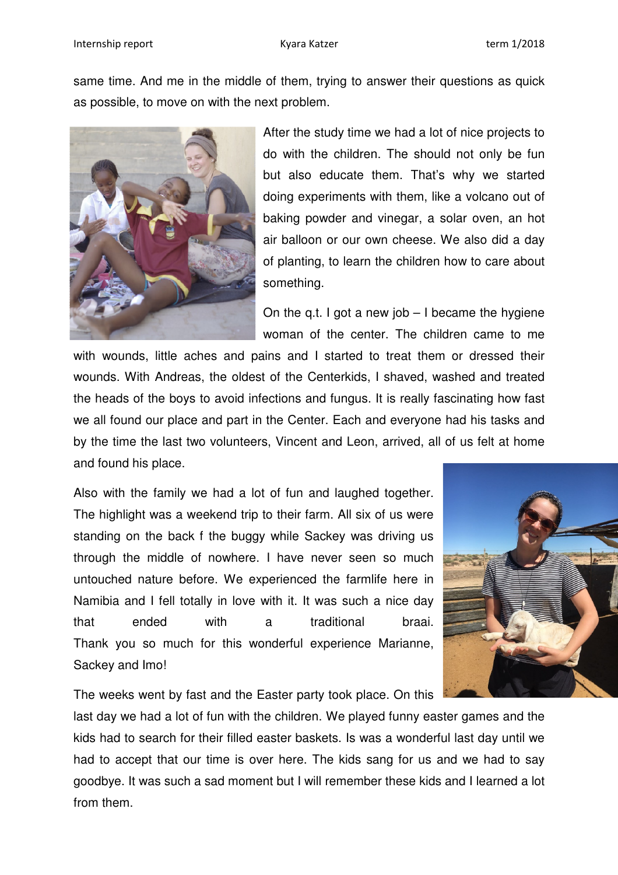same time. And me in the middle of them, trying to answer their questions as quick as possible, to move on with the next problem.



After the study time we had a lot of nice projects to do with the children. The should not only be fun but also educate them. That's why we started doing experiments with them, like a volcano out of baking powder and vinegar, a solar oven, an hot air balloon or our own cheese. We also did a day of planting, to learn the children how to care about something.

On the q.t. I got a new job  $-1$  became the hygiene woman of the center. The children came to me

with wounds, little aches and pains and I started to treat them or dressed their wounds. With Andreas, the oldest of the Centerkids, I shaved, washed and treated the heads of the boys to avoid infections and fungus. It is really fascinating how fast we all found our place and part in the Center. Each and everyone had his tasks and by the time the last two volunteers, Vincent and Leon, arrived, all of us felt at home and found his place.

Also with the family we had a lot of fun and laughed together. The highlight was a weekend trip to their farm. All six of us were standing on the back f the buggy while Sackey was driving us through the middle of nowhere. I have never seen so much untouched nature before. We experienced the farmlife here in Namibia and I fell totally in love with it. It was such a nice day that ended with a traditional braai. Thank you so much for this wonderful experience Marianne, Sackey and Imo!



The weeks went by fast and the Easter party took place. On this

last day we had a lot of fun with the children. We played funny easter games and the kids had to search for their filled easter baskets. Is was a wonderful last day until we had to accept that our time is over here. The kids sang for us and we had to say goodbye. It was such a sad moment but I will remember these kids and I learned a lot from them.